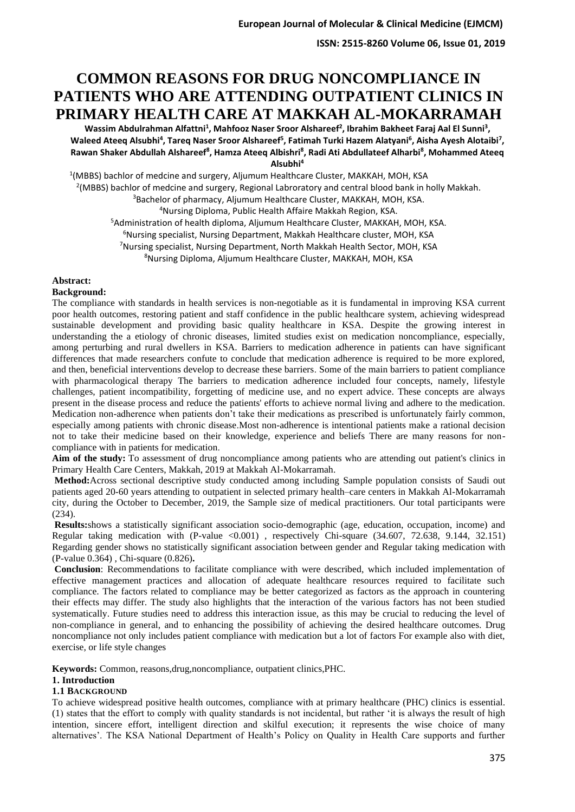# **COMMON REASONS FOR DRUG NONCOMPLIANCE IN PATIENTS WHO ARE ATTENDING OUTPATIENT CLINICS IN PRIMARY HEALTH CARE AT MAKKAH AL-MOKARRAMAH**

Wassim Abdulrahman Alfattni<sup>1</sup>, Mahfooz Naser Sroor Alshareef<sup>2</sup>, Ibrahim Bakheet Faraj Aal El Sunni<sup>3</sup>, Waleed Ateeq Alsubhi<sup>4</sup>, Tareq Naser Sroor Alshareef<sup>5</sup>, Fatimah Turki Hazem Alatyani<sup>6</sup>, Aisha Ayesh Alotaibi<sup>7</sup>, **Rawan Shaker Abdullah Alshareef<sup>8</sup> , Hamza Ateeq Albishri<sup>8</sup> , Radi Ati Abdullateef Alharbi<sup>8</sup> , Mohammed Ateeq Alsubhi<sup>4</sup>**

 (MBBS) bachlor of medcine and surgery, Aljumum Healthcare Cluster, MAKKAH, MOH, KSA <sup>2</sup>(MBBS) bachlor of medcine and surgery, Regional Labroratory and central blood bank in holly Makkah. Bachelor of pharmacy, Aljumum Healthcare Cluster, MAKKAH, MOH, KSA. Nursing Diploma, Public Health Affaire Makkah Region, KSA. Administration of health diploma, Aljumum Healthcare Cluster, MAKKAH, MOH, KSA. <sup>6</sup>Nursing specialist, Nursing Department, Makkah Healthcare cluster, MOH, KSA Nursing specialist, Nursing Department, North Makkah Health Sector, MOH, KSA

<sup>8</sup>Nursing Diploma, Aljumum Healthcare Cluster, MAKKAH, MOH, KSA

### **Abstract:**

#### **Background:**

The compliance with standards in health services is non-negotiable as it is fundamental in improving KSA current poor health outcomes, restoring patient and staff confidence in the public healthcare system, achieving widespread sustainable development and providing basic quality healthcare in KSA. Despite the growing interest in understanding the a etiology of chronic diseases, limited studies exist on medication noncompliance, especially, among perturbing and rural dwellers in KSA. Barriers to medication adherence in patients can have significant differences that made researchers confute to conclude that medication adherence is required to be more explored, and then, beneficial interventions develop to decrease these barriers. Some of the main barriers to patient compliance with pharmacological therapy The barriers to medication adherence included four concepts, namely, lifestyle challenges, patient incompatibility, forgetting of medicine use, and no expert advice. These concepts are always present in the disease process and reduce the patients' efforts to achieve normal living and adhere to the medication. Medication non-adherence when patients don't take their medications as prescribed is unfortunately fairly common, especially among patients with chronic disease.Most non-adherence is intentional patients make a rational decision not to take their medicine based on their knowledge, experience and beliefs There are many reasons for noncompliance with in patients for medication.

**Aim of the study:** To assessment of drug noncompliance among patients who are attending out patient's clinics in Primary Health Care Centers, Makkah, 2019 at Makkah Al-Mokarramah.

**Method:**Across sectional descriptive study conducted among including Sample population consists of Saudi out patients aged 20-60 years attending to outpatient in selected primary health–care centers in Makkah Al-Mokarramah city, during the October to December, 2019, the Sample size of medical practitioners. Our total participants were (234).

**Results:**shows a statistically significant association socio-demographic (age, education, occupation, income) and Regular taking medication with (P-value <0.001) , respectively Chi-square (34.607, 72.638, 9.144, 32.151) Regarding gender shows no statistically significant association between gender and Regular taking medication with (P-value 0.364) , Chi-square (0.826)**.**

**Conclusion**: Recommendations to facilitate compliance with were described, which included implementation of effective management practices and allocation of adequate healthcare resources required to facilitate such compliance. The factors related to compliance may be better categorized as factors as the approach in countering their effects may differ. The study also highlights that the interaction of the various factors has not been studied systematically. Future studies need to address this interaction issue, as this may be crucial to reducing the level of non-compliance in general, and to enhancing the possibility of achieving the desired healthcare outcomes. Drug noncompliance not only includes patient compliance with medication but a lot of factors For example also with diet, exercise, or life style changes

**Keywords:** Common, reasons,drug,noncompliance, outpatient clinics,PHC.

### **1. Introduction**

### **1.1 BACKGROUND**

To achieve widespread positive health outcomes, compliance with at primary healthcare (PHC) clinics is essential. (1) states that the effort to comply with quality standards is not incidental, but rather 'it is always the result of high intention, sincere effort, intelligent direction and skilful execution; it represents the wise choice of many alternatives'. The KSA National Department of Health's Policy on Quality in Health Care supports and further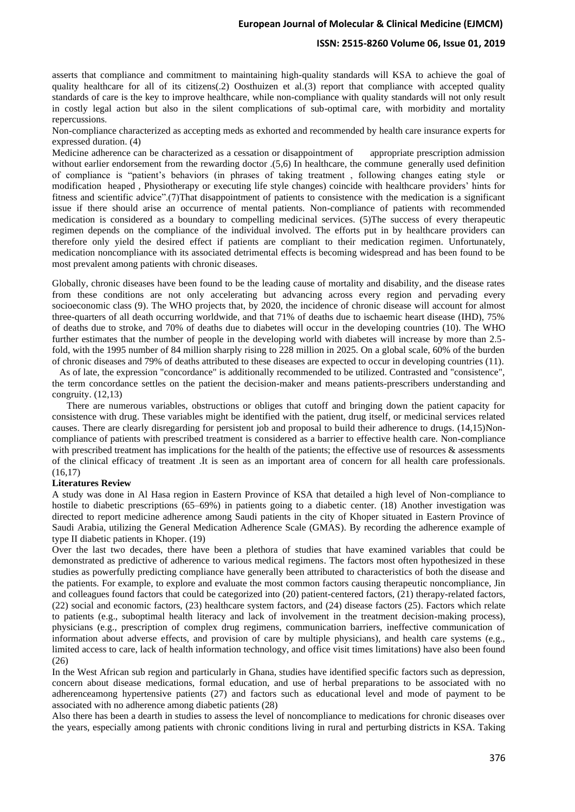#### **ISSN: 2515-8260 Volume 06, Issue 01, 2019**

asserts that compliance and commitment to maintaining high-quality standards will KSA to achieve the goal of quality healthcare for all of its citizens(.2) Oosthuizen et al.(3) report that compliance with accepted quality standards of care is the key to improve healthcare, while non-compliance with quality standards will not only result in costly legal action but also in the silent complications of sub-optimal care, with morbidity and mortality repercussions.

Non-compliance characterized as accepting meds as exhorted and recommended by health care insurance experts for expressed duration. (4)

Medicine adherence can be characterized as a cessation or disappointment of appropriate prescription admission without earlier endorsement from the rewarding doctor .(5,6) In healthcare, the commune generally used definition of compliance is "patient's behaviors (in phrases of taking treatment , following changes eating style or modification heaped , Physiotherapy or executing life style changes) coincide with healthcare providers' hints for fitness and scientific advice".(7)That disappointment of patients to consistence with the medication is a significant issue if there should arise an occurrence of mental patients. Non-compliance of patients with recommended medication is considered as a boundary to compelling medicinal services. (5)The success of every therapeutic regimen depends on the compliance of the individual involved. The efforts put in by healthcare providers can therefore only yield the desired effect if patients are compliant to their medication regimen. Unfortunately, medication noncompliance with its associated detrimental effects is becoming widespread and has been found to be most prevalent among patients with chronic diseases.

Globally, chronic diseases have been found to be the leading cause of mortality and disability, and the disease rates from these conditions are not only accelerating but advancing across every region and pervading every socioeconomic class (9). The WHO projects that, by 2020, the incidence of chronic disease will account for almost three-quarters of all death occurring worldwide, and that 71% of deaths due to ischaemic heart disease (IHD), 75% of deaths due to stroke, and 70% of deaths due to diabetes will occur in the developing countries (10). The WHO further estimates that the number of people in the developing world with diabetes will increase by more than 2.5 fold, with the 1995 number of 84 million sharply rising to 228 million in 2025. On a global scale, 60% of the burden of chronic diseases and 79% of deaths attributed to these diseases are expected to occur in developing countries (11).

 As of late, the expression "concordance" is additionally recommended to be utilized. Contrasted and "consistence", the term concordance settles on the patient the decision-maker and means patients-prescribers understanding and congruity. (12,13)

 There are numerous variables, obstructions or obliges that cutoff and bringing down the patient capacity for consistence with drug. These variables might be identified with the patient, drug itself, or medicinal services related causes. There are clearly disregarding for persistent job and proposal to build their adherence to drugs. (14,15)Noncompliance of patients with prescribed treatment is considered as a barrier to effective health care. Non-compliance with prescribed treatment has implications for the health of the patients; the effective use of resources  $\&$  assessments of the clinical efficacy of treatment .It is seen as an important area of concern for all health care professionals. (16,17)

#### **Literatures Review**

A study was done in Al Hasa region in Eastern Province of KSA that detailed a high level of Non-compliance to hostile to diabetic prescriptions (65–69%) in patients going to a diabetic center. (18) Another investigation was directed to report medicine adherence among Saudi patients in the city of Khoper situated in Eastern Province of Saudi Arabia, utilizing the General Medication Adherence Scale (GMAS). By recording the adherence example of type II diabetic patients in Khoper. (19)

Over the last two decades, there have been a plethora of studies that have examined variables that could be demonstrated as predictive of adherence to various medical regimens. The factors most often hypothesized in these studies as powerfully predicting compliance have generally been attributed to characteristics of both the disease and the patients. For example, to explore and evaluate the most common factors causing therapeutic noncompliance, Jin and colleagues found factors that could be categorized into (20) patient-centered factors, (21) therapy-related factors, (22) social and economic factors, (23) healthcare system factors, and (24) disease factors (25). Factors which relate to patients (e.g., suboptimal health literacy and lack of involvement in the treatment decision-making process), physicians (e.g., prescription of complex drug regimens, communication barriers, ineffective communication of information about adverse effects, and provision of care by multiple physicians), and health care systems (e.g., limited access to care, lack of health information technology, and office visit times limitations) have also been found  $(26)$ 

In the West African sub region and particularly in Ghana, studies have identified specific factors such as depression, concern about disease medications, formal education, and use of herbal preparations to be associated with no adherenceamong hypertensive patients (27) and factors such as educational level and mode of payment to be associated with no adherence among diabetic patients (28)

Also there has been a dearth in studies to assess the level of noncompliance to medications for chronic diseases over the years, especially among patients with chronic conditions living in rural and perturbing districts in KSA. Taking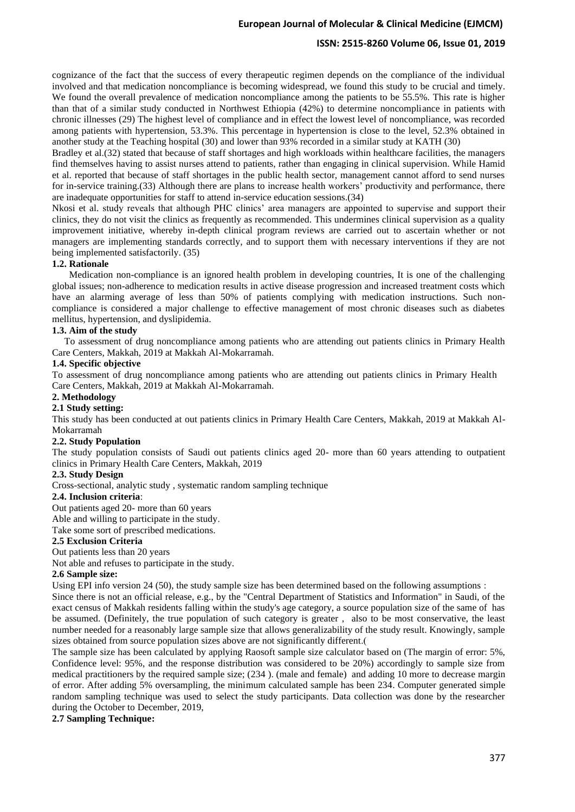### **ISSN: 2515-8260 Volume 06, Issue 01, 2019**

cognizance of the fact that the success of every therapeutic regimen depends on the compliance of the individual involved and that medication noncompliance is becoming widespread, we found this study to be crucial and timely. We found the overall prevalence of medication noncompliance among the patients to be 55.5%. This rate is higher than that of a similar study conducted in Northwest Ethiopia (42%) to determine noncompliance in patients with chronic illnesses (29) The highest level of compliance and in effect the lowest level of noncompliance, was recorded among patients with hypertension, 53.3%. This percentage in hypertension is close to the level, 52.3% obtained in another study at the Teaching hospital (30) and lower than 93% recorded in a similar study at KATH (30)

Bradley et al.(32) stated that because of staff shortages and high workloads within healthcare facilities, the managers find themselves having to assist nurses attend to patients, rather than engaging in clinical supervision. While Hamid et al. reported that because of staff shortages in the public health sector, management cannot afford to send nurses for in-service training.(33) Although there are plans to increase health workers' productivity and performance, there are inadequate opportunities for staff to attend in-service education sessions.(34)

Nkosi et al. study reveals that although PHC clinics' area managers are appointed to supervise and support their clinics, they do not visit the clinics as frequently as recommended. This undermines clinical supervision as a quality improvement initiative, whereby in-depth clinical program reviews are carried out to ascertain whether or not managers are implementing standards correctly, and to support them with necessary interventions if they are not being implemented satisfactorily. (35)

#### **1.2. Rationale**

 Medication non-compliance is an ignored health problem in developing countries, It is one of the challenging global issues; non-adherence to medication results in active disease progression and increased treatment costs which have an alarming average of less than 50% of patients complying with medication instructions. Such noncompliance is considered a major challenge to effective management of most chronic diseases such as diabetes mellitus, hypertension, and dyslipidemia.

#### **1.3. Aim of the study**

 To assessment of drug noncompliance among patients who are attending out patients clinics in Primary Health Care Centers, Makkah, 2019 at Makkah Al-Mokarramah.

#### **1.4. Specific objective**

To assessment of drug noncompliance among patients who are attending out patients clinics in Primary Health Care Centers, Makkah, 2019 at Makkah Al-Mokarramah.

#### **2. Methodology**

#### **2.1 Study setting :**

This study has been conducted at out patients clinics in Primary Health Care Centers, Makkah, 2019 at Makkah Al-Mokarramah

#### **2.2. Study Population**

The study population consists of Saudi out patients clinics aged 20- more than 60 years attending to outpatient clinics in Primary Health Care Centers, Makkah, 2019

#### **2.3. Study Design**

Cross-sectional, analytic study , systematic random sampling technique

#### **2.4. Inclusion criteria**:

Out patients aged 20- more than 60 years

Able and willing to participate in the study.

Take some sort of prescribed medications.

#### **2.5 Exclusion Criteria**

Out patients less than 20 years

Not able and refuses to participate in the study.

#### **2.6 Sample size:**

Using EPI info version 24 (50), the study sample size has been determined based on the following assumptions :

Since there is not an official release, e.g., by the "Central Department of Statistics and Information" in Saudi, of the exact census of Makkah residents falling within the study's age category, a source population size of the same of has be assumed. (Definitely, the true population of such category is greater , also to be most conservative, the least number needed for a reasonably large sample size that allows generalizability of the study result. Knowingly, sample sizes obtained from source population sizes above are not significantly different.

The sample size has been calculated by applying Raosoft sample size calculator based on (The margin of error: 5%, Confidence level: 95%, and the response distribution was considered to be 20%) accordingly to sample size from medical practitioners by the required sample size; (234 ). (male and female) and adding 10 more to decrease margin of error. After adding 5% oversampling, the minimum calculated sample has been 234. Computer generated simple random sampling technique was used to select the study participants. Data collection was done by the researcher during the October to December, 2019,

### **2.7 Sampling Technique :**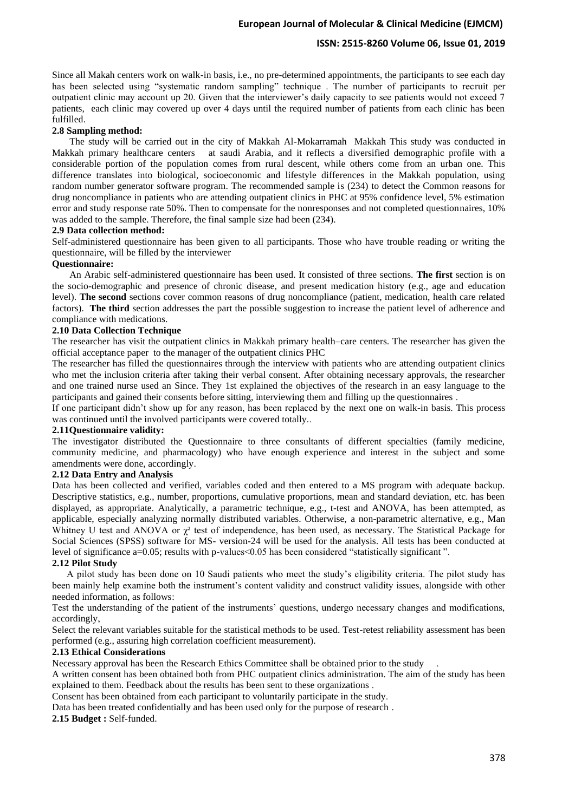Since all Makah centers work on walk-in basis, i.e., no pre-determined appointments, the participants to see each day has been selected using "systematic random sampling" technique . The number of participants to recruit per outpatient clinic may account up 20. Given that the interviewer's daily capacity to see patients would not exceed 7 patients, each clinic may covered up over 4 days until the required number of patients from each clinic has been fulfilled.

#### **2.8 Sampling method :**

The study will be carried out in the city of Makkah Al-Mokarramah Makkah This study was conducted in Makkah primary healthcare centers at saudi Arabia, and it reflects a diversified demographic profile with a considerable portion of the population comes from rural descent, while others come from an urban one. This difference translates into biological, socioeconomic and lifestyle differences in the Makkah population, using random number generator software program. The recommended sample is (234) to detect the Common reasons for drug noncompliance in patients who are attending outpatient clinics in PHC at 95% confidence level, 5% estimation error and study response rate 50%. Then to compensate for the nonresponses and not completed questionnaires, 10% was added to the sample. Therefore, the final sample size had been (234).

#### **2.9 Data collection method :**

Self-administered questionnaire has been given to all participants. Those who have trouble reading or writing the questionnaire, will be filled by the interviewer

#### **Questionnaire:**

An Arabic self-administered questionnaire has been used. It consisted of three sections. **The first** section is on the socio-demographic and presence of chronic disease, and present medication history (e.g., age and education level). **The second** sections cover common reasons of drug noncompliance (patient, medication, health care related factors). **The third** section addresses the part the possible suggestion to increase the patient level of adherence and compliance with medications.

#### **2.10 Data Collection Technique**

The researcher has visit the outpatient clinics in Makkah primary health–care centers. The researcher has given the official acceptance paper to the manager of the outpatient clinics PHC

The researcher has filled the questionnaires through the interview with patients who are attending outpatient clinics who met the inclusion criteria after taking their verbal consent. After obtaining necessary approvals, the researcher and one trained nurse used an Since. They 1st explained the objectives of the research in an easy language to the participants and gained their consents before sitting, interviewing them and filling up the questionnaires .

If one participant didn't show up for any reason, has been replaced by the next one on walk-in basis. This process was continued until the involved participants were covered totally...

#### **2.11Questionnaire validity :**

The investigator distributed the Questionnaire to three consultants of different specialties (family medicine, community medicine, and pharmacology) who have enough experience and interest in the subject and some amendments were done, accordingly.

### **2.12 Data Entry and Analysis**

Data has been collected and verified, variables coded and then entered to a MS program with adequate backup. Descriptive statistics, e.g., number, proportions, cumulative proportions, mean and standard deviation, etc. has been displayed, as appropriate. Analytically, a parametric technique, e.g., t-test and ANOVA, has been attempted, as applicable, especially analyzing normally distributed variables. Otherwise, a non-parametric alternative, e.g., Man Whitney U test and ANOVA or  $\gamma^2$  test of independence, has been used, as necessary. The Statistical Package for Social Sciences (SPSS) software for MS- version-24 will be used for the analysis. All tests has been conducted at level of significance a=0.05; results with p-values<0.05 has been considered "statistically significant ".

### **2.12 Pilot Study**

 A pilot study has been done on 10 Saudi patients who meet the study's eligibility criteria. The pilot study has been mainly help examine both the instrument's content validity and construct validity issues, alongside with other needed information, as follows :

Test the understanding of the patient of the instruments' questions, undergo necessary changes and modifications, accordingly,

Select the relevant variables suitable for the statistical methods to be used. Test-retest reliability assessment has been performed (e.g., assuring high correlation coefficient measurement).

#### **2.13 Ethical Considerations**

Necessary approval has been the Research Ethics Committee shall be obtained prior to the study .

A written consent has been obtained both from PHC outpatient clinics administration. The aim of the study has been explained to them. Feedback about the results has been sent to these organizations .

Consent has been obtained from each participant to voluntarily participate in the study .

Data has been treated confidentially and has been used only for the purpose of research .

**2.15 Budget :** Self-funded.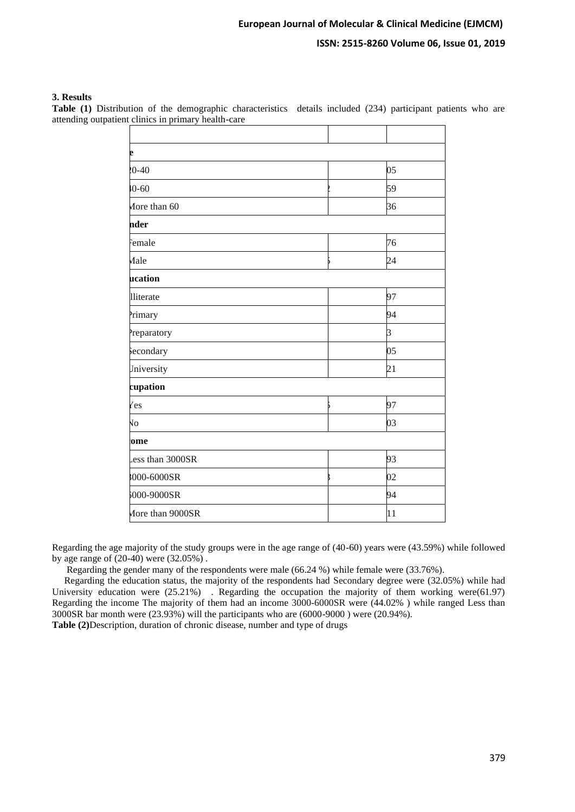#### **3. Results**

**Table (1)** Distribution of the demographic characteristics details included (234) participant patients who are attending outpatient clinics in primary health-care

| e                   |                |
|---------------------|----------------|
| $20 - 40$           | 05             |
| $10 - 60$           | 59             |
| More than 60        | 36             |
| nder                |                |
| Female              | 76             |
| Male                | 24             |
| ucation             |                |
| lliterate           | 97             |
| <sup>2</sup> rimary | 94             |
| Preparatory         | $\overline{3}$ |
| secondary           | 05             |
| Jniversity          | 21             |
| cupation            |                |
| Yes                 | 97             |
| $\sqrt{6}$          | 03             |
| ome                 |                |
| ess than 3000SR     | 93             |
| 8000-6000SR         | 02             |
| 6000-9000SR         | 94             |
| More than 9000SR    | 11             |

Regarding the age majority of the study groups were in the age range of (40-60) years were (43.59%) while followed by age range of (20-40) were (32.05%) .

Regarding the gender many of the respondents were male (66.24 %) while female were (33.76%).

 Regarding the education status, the majority of the respondents had Secondary degree were (32.05%) while had University education were  $(25.21\%)$ . Regarding the occupation the majority of them working were(61.97) Regarding the income The majority of them had an income 3000-6000SR were (44.02% ) while ranged Less than 3000SR bar month were (23.93%) will the participants who are (6000-9000 ) were (20.94%).

**Table (2)**Description, duration of chronic disease, number and type of drugs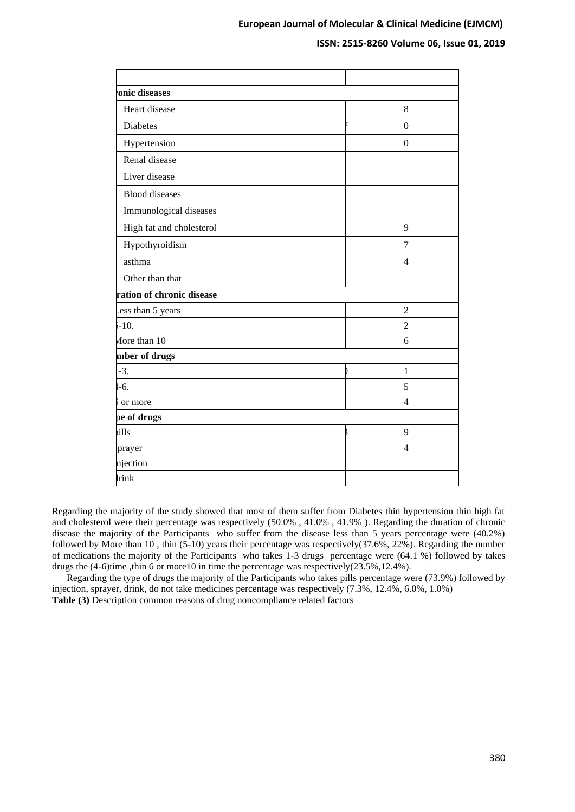| 8                        |
|--------------------------|
| O                        |
| ∩                        |
|                          |
|                          |
|                          |
|                          |
| 9                        |
|                          |
| 4                        |
|                          |
|                          |
| 2                        |
| $\overline{\mathcal{L}}$ |
| 6                        |
|                          |
| 1                        |
| 5                        |
| 4                        |
|                          |
| 9                        |
| 4                        |
|                          |
|                          |
|                          |

Regarding the majority of the study showed that most of them suffer from Diabetes thin hypertension thin high fat and cholesterol were their percentage was respectively (50.0% , 41.0% , 41.9% ). Regarding the duration of chronic disease the majority of the Participants who suffer from the disease less than 5 years percentage were (40.2%) followed by More than 10 , thin (5-10) years their percentage was respectively(37.6%, 22%). Regarding the number of medications the majority of the Participants who takes 1-3 drugs percentage were (64.1 %) followed by takes drugs the (4-6)time ,thin 6 or more10 in time the percentage was respectively(23.5%,12.4%).

 Regarding the type of drugs the majority of the Participants who takes pills percentage were (73.9%) followed by injection, sprayer, drink, do not take medicines percentage was respectively (7.3%, 12.4%, 6.0%, 1.0%) **Table (3)** Description common reasons of drug noncompliance related factors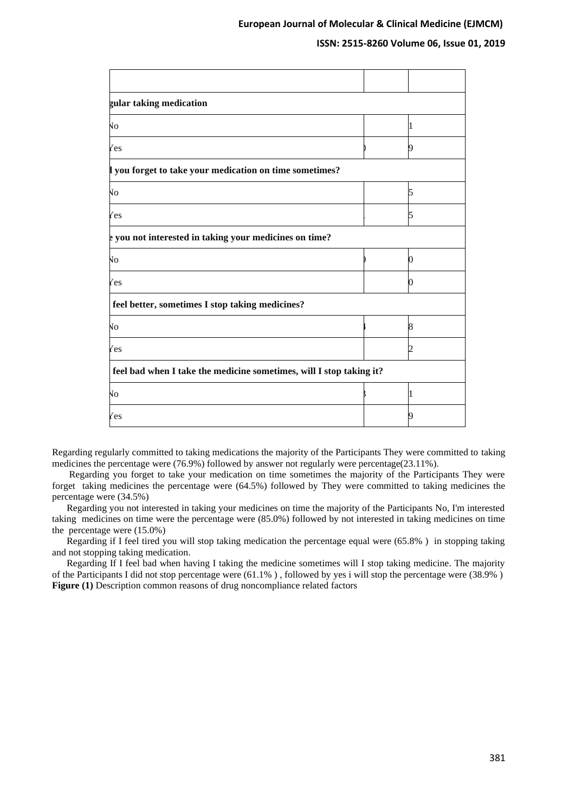### **ISSN: 2515-8260 Volume 06, Issue 01, 2019**

| gular taking medication                                             |  |   |
|---------------------------------------------------------------------|--|---|
| ÑО                                                                  |  | I |
| Yes                                                                 |  | 9 |
| l you forget to take your medication on time sometimes?             |  |   |
| Ñо                                                                  |  | 5 |
| <i>l</i> es                                                         |  | 5 |
| p you not interested in taking your medicines on time?              |  |   |
| ÑО                                                                  |  | 0 |
| Yes                                                                 |  | 0 |
| feel better, sometimes I stop taking medicines?                     |  |   |
| Vо                                                                  |  | 8 |
| <i>l</i> es                                                         |  | 2 |
| feel bad when I take the medicine sometimes, will I stop taking it? |  |   |
| Vо                                                                  |  | I |
| 7es                                                                 |  | 9 |

Regarding regularly committed to taking medications the majority of the Participants They were committed to taking medicines the percentage were (76.9%) followed by answer not regularly were percentage(23.11%).

 Regarding you forget to take your medication on time sometimes the majority of the Participants They were forget taking medicines the percentage were (64.5%) followed by They were committed to taking medicines the percentage were (34.5%)

 Regarding you not interested in taking your medicines on time the majority of the Participants No, I'm interested taking medicines on time were the percentage were (85.0%) followed by not interested in taking medicines on time the percentage were (15.0%)

 Regarding if I feel tired you will stop taking medication the percentage equal were (65.8% ) in stopping taking and not stopping taking medication.

 Regarding If I feel bad when having I taking the medicine sometimes will I stop taking medicine. The majority of the Participants I did not stop percentage were (61.1% ) , followed by yes i will stop the percentage were (38.9% ) **Figure (1)** Description common reasons of drug noncompliance related factors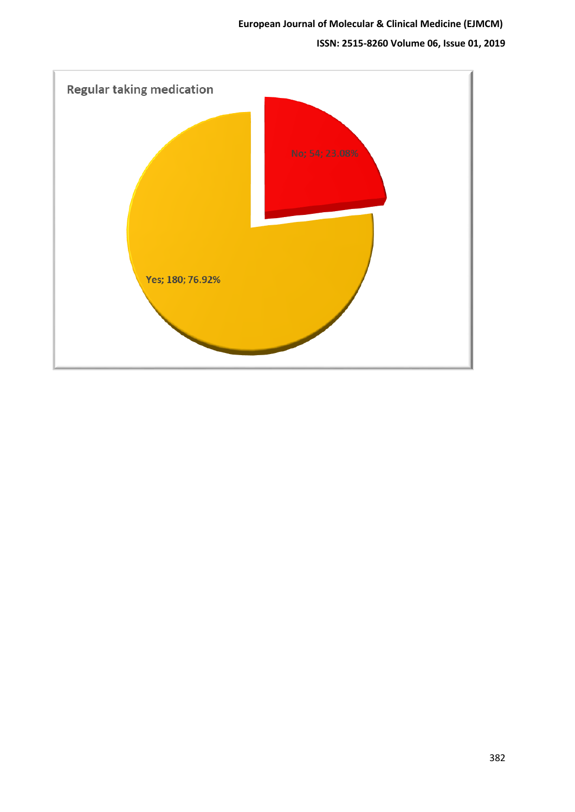# **ISSN: 2515-8260 Volume 06, Issue 01, 2019**

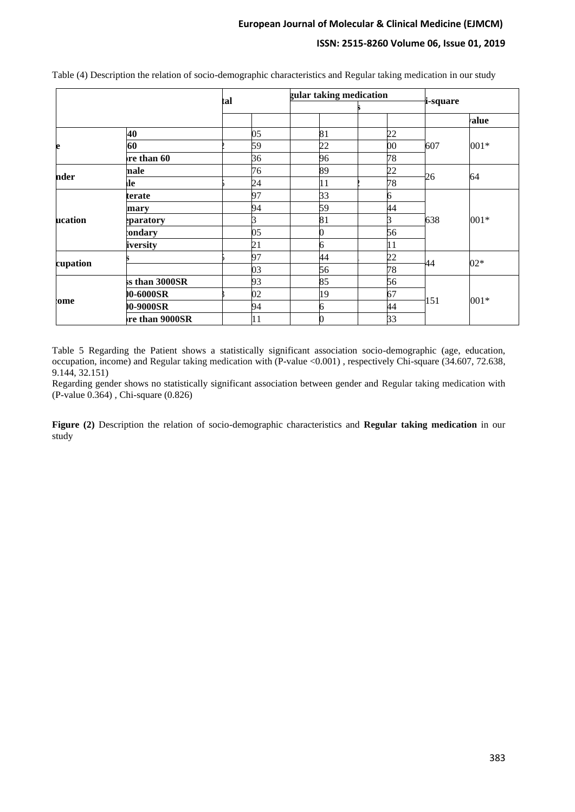### **ISSN: 2515-8260 Volume 06, Issue 01, 2019**

|          |                | tal | gular taking medication | i-square |     |        |
|----------|----------------|-----|-------------------------|----------|-----|--------|
|          |                |     |                         |          |     | alue   |
|          | 40             | 05  | 81                      | 22       |     |        |
|          | 60             | 59  | 22                      | 00       | 607 | 001*   |
|          | re than 60     | 36  | 96                      | 78       |     |        |
| nder     | nale           | 76  | 89                      | 22       |     |        |
|          | <b>lle</b>     | 24  | 11                      | 78       | 26  | 64     |
|          | terate         | 97  | 33                      | 6        |     | $001*$ |
|          | mary           | 94  | 59                      | 44       |     |        |
| ucation  | eparatory      | 3   | 81                      | ß        | 638 |        |
|          | <b>ondary</b>  | 05  | 0                       | 56       |     |        |
|          | iversity       | 21  | 6                       | 11       |     |        |
|          |                | 97  | 44                      | 22       |     | $02*$  |
| cupation |                | 03  | 56                      | 78       | 44  |        |
|          | ss than 3000SR | 93  | 85                      | 56       |     |        |
| ome      | 00-6000SR      | 02  | 19                      | 67       |     |        |
|          | 0-9000SR       | 94  | 6                       | 44       | 151 | $001*$ |
|          | re than 9000SR | 11  | 0                       | 33       |     |        |

Table (4) Description the relation of socio-demographic characteristics and Regular taking medication in our study

Table 5 Regarding the Patient shows a statistically significant association socio-demographic (age, education, occupation, income) and Regular taking medication with (P-value <0.001) , respectively Chi-square (34.607, 72.638, 9.144, 32.151)

Regarding gender shows no statistically significant association between gender and Regular taking medication with (P-value 0.364) , Chi-square (0.826)

**Figure (2)** Description the relation of socio-demographic characteristics and **Regular taking medication** in our study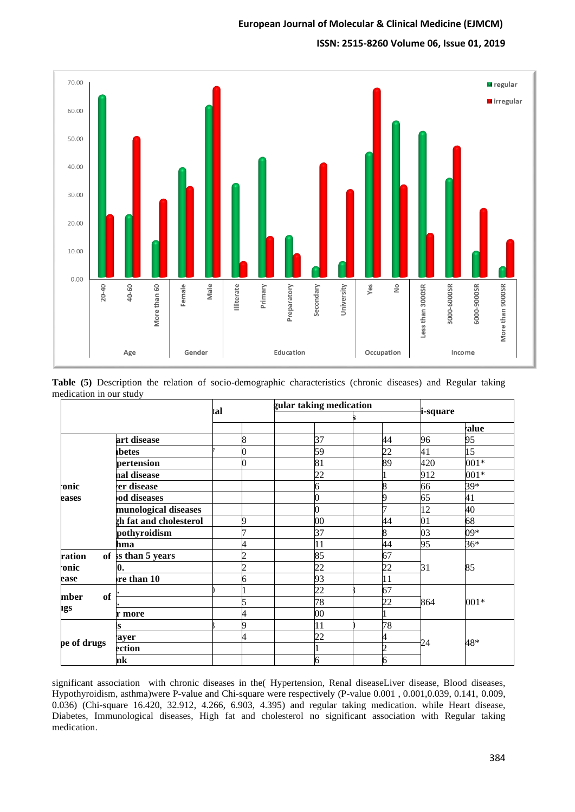### **ISSN: 2515-8260 Volume 06, Issue 01, 2019**



|                         |  | Table (5) Description the relation of socio-demographic characteristics (chronic diseases) and Regular taking |  |  |  |
|-------------------------|--|---------------------------------------------------------------------------------------------------------------|--|--|--|
| medication in our study |  |                                                                                                               |  |  |  |

|                          |                        | tal |   |   | gular taking medication |                |          |       |  |
|--------------------------|------------------------|-----|---|---|-------------------------|----------------|----------|-------|--|
|                          |                        |     |   |   |                         |                | i-square |       |  |
|                          |                        |     |   |   |                         |                |          | ralue |  |
|                          | art disease            |     | 8 |   | 37                      | 44             | 96       | 95    |  |
|                          | abetes                 |     |   |   | 59                      | 22             | 41       | 15    |  |
|                          | pertension             |     |   |   | 81                      | 89             | 420      | 001*  |  |
|                          | nal disease            |     |   |   | 22                      |                | 912      | 001*  |  |
| onic·                    | er disease             |     |   | б |                         | 8              | 66       | $39*$ |  |
| eases                    | od diseases            |     |   |   |                         | 9              | 65       | 41    |  |
|                          | munological diseases   |     |   |   |                         | ヮ              | 12       | 40    |  |
|                          | ch fat and cholesterol |     |   |   | $\overline{00}$         | 44             | 01       | 68    |  |
|                          | pothyroidism           |     |   |   | 37                      | 8              | 03       | $09*$ |  |
|                          | hma                    |     |   |   | 11                      | 44             | 95       | $36*$ |  |
| ration                   | of ss than 5 years     |     | n |   | 85                      | 67             |          | 85    |  |
| <b>onic</b>              | 0.                     |     |   |   | 22                      | 22             | 31       |       |  |
| ease                     | re than 10             |     | 6 |   | 93                      | 11             |          |       |  |
|                          |                        |     |   |   | 22                      | 67             |          | 001*  |  |
| <b>of</b><br>mber<br>ıgs |                        |     |   |   | 78                      | 22             | 864      |       |  |
|                          | r more                 |     |   |   | $\overline{00}$         |                |          |       |  |
|                          |                        |     |   |   | 11                      | 78             |          |       |  |
|                          | ayer                   |     | 4 |   | 22                      | 4              |          |       |  |
| pe of drugs              | ection                 |     |   |   |                         | $\overline{c}$ | 24       | 48*   |  |
|                          | nk                     |     |   | 6 |                         | 6              |          |       |  |

significant association with chronic diseases in the( Hypertension, Renal diseaseLiver disease, Blood diseases, Hypothyroidism, asthma)were P-value and Chi-square were respectively (P-value 0.001 , 0.001,0.039, 0.141, 0.009, 0.036) (Chi-square 16.420, 32.912, 4.266, 6.903, 4.395) and regular taking medication. while Heart disease, Diabetes, Immunological diseases, High fat and cholesterol no significant association with Regular taking medication.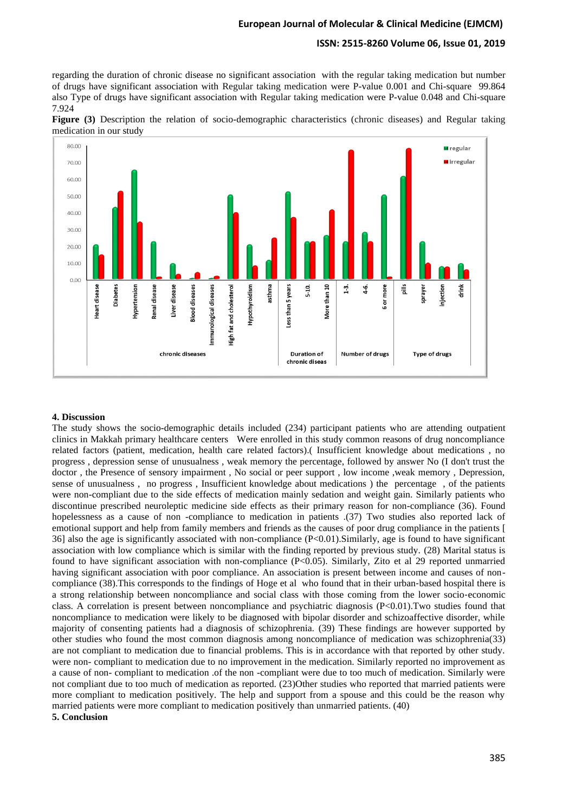### **ISSN: 2515-8260 Volume 06, Issue 01, 2019**

regarding the duration of chronic disease no significant association with the regular taking medication but number of drugs have significant association with Regular taking medication were P-value 0.001 and Chi-square 99.864 also Type of drugs have significant association with Regular taking medication were P-value 0.048 and Chi-square 7.924





#### **4. Discussion**

The study shows the socio-demographic details included (234) participant patients who are attending outpatient clinics in Makkah primary healthcare centers Were enrolled in this study common reasons of drug noncompliance related factors (patient, medication, health care related factors).( Insufficient knowledge about medications , no progress , depression sense of unusualness , weak memory the percentage, followed by answer No (I don't trust the doctor , the Presence of sensory impairment , No social or peer support , low income ,weak memory , Depression, sense of unusualness , no progress , Insufficient knowledge about medications ) the percentage , of the patients were non-compliant due to the side effects of medication mainly sedation and weight gain. Similarly patients who discontinue prescribed neuroleptic medicine side effects as their primary reason for non-compliance (36). Found hopelessness as a cause of non -compliance to medication in patients .(37) Two studies also reported lack of emotional support and help from family members and friends as the causes of poor drug compliance in the patients [ 36] also the age is significantly associated with non-compliance (P<0.01).Similarly, age is found to have significant association with low compliance which is similar with the finding reported by previous study. (28) Marital status is found to have significant association with non-compliance (P<0.05). Similarly, Zito et al 29 reported unmarried having significant association with poor compliance. An association is present between income and causes of noncompliance (38). This corresponds to the findings of Hoge et al who found that in their urban-based hospital there is a strong relationship between noncompliance and social class with those coming from the lower socio‐economic class. A correlation is present between noncompliance and psychiatric diagnosis  $(P< 0.01)$ . Two studies found that noncompliance to medication were likely to be diagnosed with bipolar disorder and schizoaffective disorder, while majority of consenting patients had a diagnosis of schizophrenia. (39) These findings are however supported by other studies who found the most common diagnosis among noncompliance of medication was schizophrenia(33) are not compliant to medication due to financial problems. This is in accordance with that reported by other study. were non- compliant to medication due to no improvement in the medication. Similarly reported no improvement as a cause of non- compliant to medication .of the non -compliant were due to too much of medication. Similarly were not compliant due to too much of medication as reported. (23)Other studies who reported that married patients were more compliant to medication positively. The help and support from a spouse and this could be the reason why married patients were more compliant to medication positively than unmarried patients. (40) **5. Conclusion**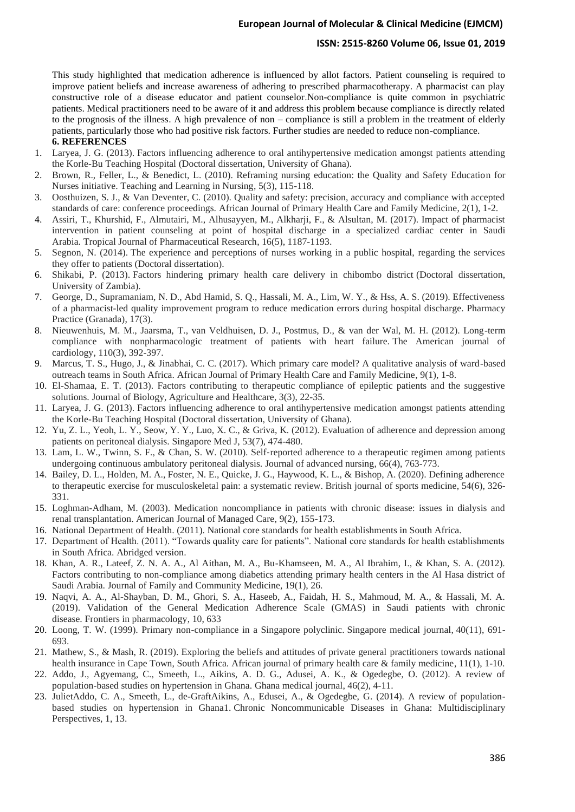#### **ISSN: 2515-8260 Volume 06, Issue 01, 2019**

This study highlighted that medication adherence is influenced by allot factors. Patient counseling is required to improve patient beliefs and increase awareness of adhering to prescribed pharmacotherapy. A pharmacist can play constructive role of a disease educator and patient counselor.Non-compliance is quite common in psychiatric patients. Medical practitioners need to be aware of it and address this problem because compliance is directly related to the prognosis of the illness. A high prevalence of non – compliance is still a problem in the treatment of elderly patients, particularly those who had positive risk factors. Further studies are needed to reduce non-compliance. **6. REFERENCES**

- 1. Laryea, J. G. (2013). Factors influencing adherence to oral antihypertensive medication amongst patients attending the Korle-Bu Teaching Hospital (Doctoral dissertation, University of Ghana).
- 2. Brown, R., Feller, L., & Benedict, L. (2010). Reframing nursing education: the Quality and Safety Education for Nurses initiative. Teaching and Learning in Nursing, 5(3), 115-118.
- 3. Oosthuizen, S. J., & Van Deventer, C. (2010). Quality and safety: precision, accuracy and compliance with accepted standards of care: conference proceedings. African Journal of Primary Health Care and Family Medicine, 2(1), 1-2.
- 4. Assiri, T., Khurshid, F., Almutairi, M., Alhusayyen, M., Alkharji, F., & Alsultan, M. (2017). Impact of pharmacist intervention in patient counseling at point of hospital discharge in a specialized cardiac center in Saudi Arabia. Tropical Journal of Pharmaceutical Research, 16(5), 1187-1193.
- 5. Segnon, N. (2014). The experience and perceptions of nurses working in a public hospital, regarding the services they offer to patients (Doctoral dissertation).
- 6. Shikabi, P. (2013). Factors hindering primary health care delivery in chibombo district (Doctoral dissertation, University of Zambia).
- 7. George, D., Supramaniam, N. D., Abd Hamid, S. Q., Hassali, M. A., Lim, W. Y., & Hss, A. S. (2019). Effectiveness of a pharmacist-led quality improvement program to reduce medication errors during hospital discharge. Pharmacy Practice (Granada), 17(3).
- 8. Nieuwenhuis, M. M., Jaarsma, T., van Veldhuisen, D. J., Postmus, D., & van der Wal, M. H. (2012). Long-term compliance with nonpharmacologic treatment of patients with heart failure. The American journal of cardiology, 110(3), 392-397.
- 9. Marcus, T. S., Hugo, J., & Jinabhai, C. C. (2017). Which primary care model? A qualitative analysis of ward-based outreach teams in South Africa. African Journal of Primary Health Care and Family Medicine, 9(1), 1-8.
- 10. El-Shamaa, E. T. (2013). Factors contributing to therapeutic compliance of epileptic patients and the suggestive solutions. Journal of Biology, Agriculture and Healthcare, 3(3), 22-35.
- 11. Laryea, J. G. (2013). Factors influencing adherence to oral antihypertensive medication amongst patients attending the Korle-Bu Teaching Hospital (Doctoral dissertation, University of Ghana).
- 12. Yu, Z. L., Yeoh, L. Y., Seow, Y. Y., Luo, X. C., & Griva, K. (2012). Evaluation of adherence and depression among patients on peritoneal dialysis. Singapore Med J, 53(7), 474-480.
- 13. Lam, L. W., Twinn, S. F., & Chan, S. W. (2010). Self-reported adherence to a therapeutic regimen among patients undergoing continuous ambulatory peritoneal dialysis. Journal of advanced nursing, 66(4), 763-773.
- 14. Bailey, D. L., Holden, M. A., Foster, N. E., Quicke, J. G., Haywood, K. L., & Bishop, A. (2020). Defining adherence to therapeutic exercise for musculoskeletal pain: a systematic review. British journal of sports medicine, 54(6), 326- 331.
- 15. Loghman-Adham, M. (2003). Medication noncompliance in patients with chronic disease: issues in dialysis and renal transplantation. American Journal of Managed Care, 9(2), 155-173.
- 16. National Department of Health. (2011). National core standards for health establishments in South Africa.
- 17. Department of Health. (2011). "Towards quality care for patients". National core standards for health establishments in South Africa. Abridged version.
- 18. Khan, A. R., Lateef, Z. N. A. A., Al Aithan, M. A., Bu-Khamseen, M. A., Al Ibrahim, I., & Khan, S. A. (2012). Factors contributing to non-compliance among diabetics attending primary health centers in the Al Hasa district of Saudi Arabia. Journal of Family and Community Medicine, 19(1), 26.
- 19. Naqvi, A. A., Al-Shayban, D. M., Ghori, S. A., Haseeb, A., Faidah, H. S., Mahmoud, M. A., & Hassali, M. A. (2019). Validation of the General Medication Adherence Scale (GMAS) in Saudi patients with chronic disease. Frontiers in pharmacology, 10, 633
- 20. Loong, T. W. (1999). Primary non-compliance in a Singapore polyclinic. Singapore medical journal, 40(11), 691- 693.
- 21. Mathew, S., & Mash, R. (2019). Exploring the beliefs and attitudes of private general practitioners towards national health insurance in Cape Town, South Africa. African journal of primary health care & family medicine, 11(1), 1-10.
- 22. Addo, J., Agyemang, C., Smeeth, L., Aikins, A. D. G., Adusei, A. K., & Ogedegbe, O. (2012). A review of population-based studies on hypertension in Ghana. Ghana medical journal, 46(2), 4-11.
- 23. JulietAddo, C. A., Smeeth, L., de-GraftAikins, A., Edusei, A., & Ogedegbe, G. (2014). A review of populationbased studies on hypertension in Ghana1. Chronic Noncommunicable Diseases in Ghana: Multidisciplinary Perspectives, 1, 13.